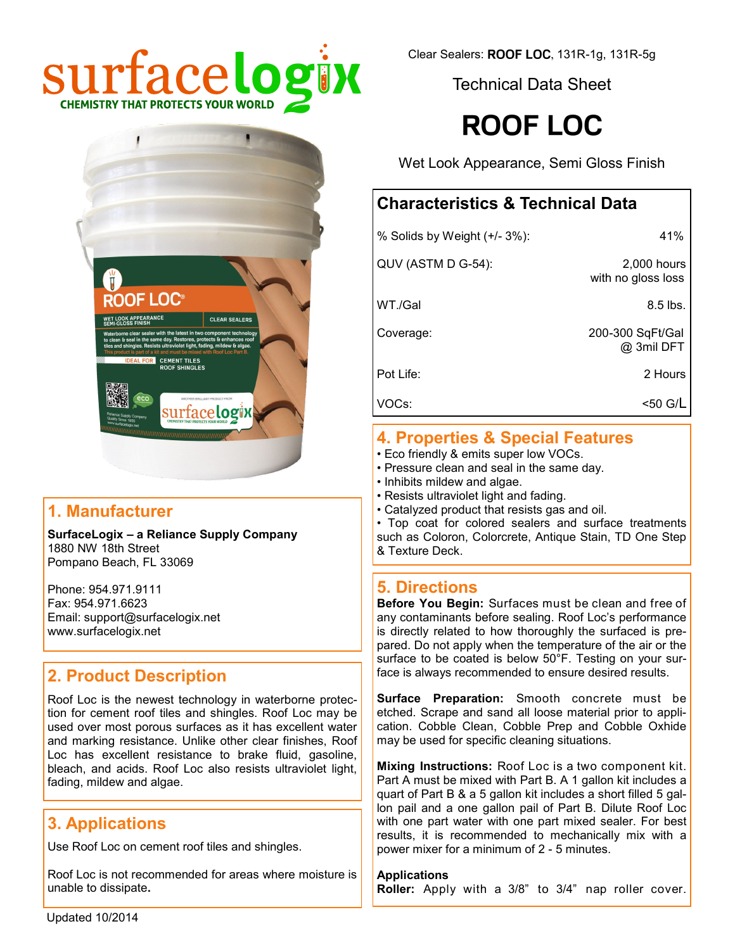

Clear Sealers: ROOF LOC, 131R-1g, 131R-5g

Technical Data Sheet

# **ROOF LOC**

Wet Look Appearance, Semi Gloss Finish

# **Characteristics & Technical Data**

| % Solids by Weight (+/- 3%): | 41%                               |
|------------------------------|-----------------------------------|
| QUV (ASTM D G-54):           | 2,000 hours<br>with no gloss loss |
| WT./Gal                      | $8.5$ lbs.                        |
| Coverage:                    | 200-300 SqFt/Gal<br>@ 3mil DFT    |
| Pot Life:                    | 2 Hours                           |
| VOCs:                        | <50 G/L                           |
|                              |                                   |

# **4. Properties & Special Features**

- Eco friendly & emits super low VOCs.
- Pressure clean and seal in the same day.
- Inhibits mildew and algae.
- Resists ultraviolet light and fading.
- Catalyzed product that resists gas and oil.

• Top coat for colored sealers and surface treatments such as Coloron, Colorcrete, Antique Stain, TD One Step & Texture Deck.

# **5. Directions**

**Before You Begin:** Surfaces must be clean and free of any contaminants before sealing. Roof Loc's performance is directly related to how thoroughly the surfaced is prepared. Do not apply when the temperature of the air or the surface to be coated is below 50°F. Testing on your surface is always recommended to ensure desired results.

**Surface Preparation:** Smooth concrete must be etched. Scrape and sand all loose material prior to application. Cobble Clean, Cobble Prep and Cobble Oxhide may be used for specific cleaning situations.

**Mixing Instructions:** Roof Loc is a two component kit. Part A must be mixed with Part B. A 1 gallon kit includes a quart of Part B & a 5 gallon kit includes a short filled 5 gallon pail and a one gallon pail of Part B. Dilute Roof Loc with one part water with one part mixed sealer. For best results, it is recommended to mechanically mix with a power mixer for a minimum of 2 - 5 minutes.

**Applications Roller:** Apply with a 3/8" to 3/4" nap roller cover.



# **1. Manufacturer**

**SurfaceLogix – a Reliance Supply Company** 1880 NW 18th Street Pompano Beach, FL 33069

Phone: 954.971.9111 Fax: 954.971.6623 Email: support@surfacelogix.net www.surfacelogix.net

# **2. Product Description**

Roof Loc is the newest technology in waterborne protection for cement roof tiles and shingles. Roof Loc may be used over most porous surfaces as it has excellent water and marking resistance. Unlike other clear finishes, Roof Loc has excellent resistance to brake fluid, gasoline, bleach, and acids. Roof Loc also resists ultraviolet light, fading, mildew and algae.

# **3. Applications**

Use Roof Loc on cement roof tiles and shingles.

Roof Loc is not recommended for areas where moisture is unable to dissipate**.**